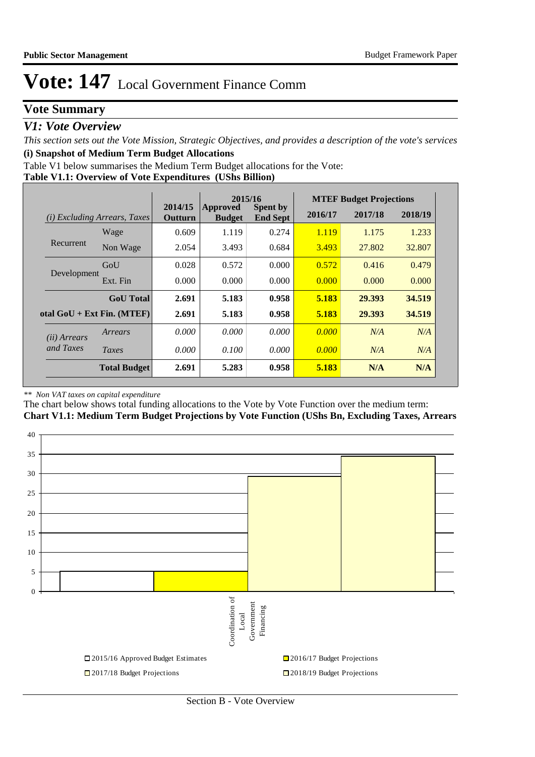## **Vote Summary**

### *V1: Vote Overview*

*This section sets out the Vote Mission, Strategic Objectives, and provides a description of the vote's services* **(i) Snapshot of Medium Term Budget Allocations** 

Table V1 below summarises the Medium Term Budget allocations for the Vote:

**Table V1.1: Overview of Vote Expenditures (UShs Billion)**

|                       |                                 |                    | 2015/16                   |                                    |         | <b>MTEF Budget Projections</b> |         |
|-----------------------|---------------------------------|--------------------|---------------------------|------------------------------------|---------|--------------------------------|---------|
| (i)                   | <i>Excluding Arrears, Taxes</i> | 2014/15<br>Outturn | Approved<br><b>Budget</b> | <b>Spent by</b><br><b>End Sept</b> | 2016/17 | 2017/18                        | 2018/19 |
|                       | Wage                            | 0.609              | 1.119                     | 0.274                              | 1.119   | 1.175                          | 1.233   |
| Recurrent             | Non Wage                        | 2.054              | 3.493                     | 0.684                              | 3.493   | 27.802                         | 32.807  |
|                       | GoU                             | 0.028              | 0.572                     | 0.000                              | 0.572   | 0.416                          | 0.479   |
| Development           | Ext. Fin                        | 0.000              | 0.000                     | 0.000                              | 0.000   | 0.000                          | 0.000   |
|                       | <b>GoU</b> Total                | 2.691              | 5.183                     | 0.958                              | 5.183   | 29.393                         | 34.519  |
|                       | otal $GoU + Ext Fin. (MTEF)$    | 2.691              | 5.183                     | 0.958                              | 5.183   | 29.393                         | 34.519  |
| ( <i>ii</i> ) Arrears | Arrears                         | 0.000              | 0.000                     | 0.000                              | 0.000   | N/A                            | N/A     |
| and Taxes             | Taxes                           | 0.000              | 0.100                     | 0.000                              | 0.000   | N/A                            | N/A     |
|                       | <b>Total Budget</b>             | 2.691              | 5.283                     | 0.958                              | 5.183   | N/A                            | N/A     |

#### *\*\* Non VAT taxes on capital expenditure*

The chart below shows total funding allocations to the Vote by Vote Function over the medium term: **Chart V1.1: Medium Term Budget Projections by Vote Function (UShs Bn, Excluding Taxes, Arrears**

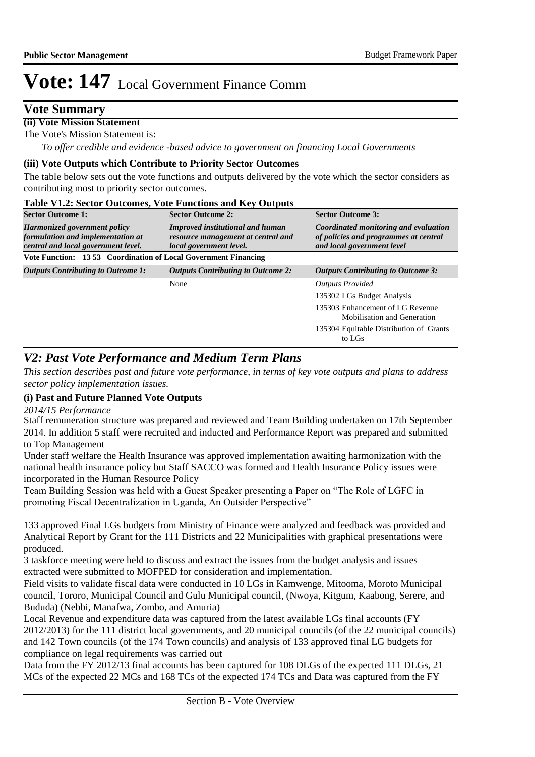### **Vote Summary**

#### **(ii) Vote Mission Statement**

The Vote's Mission Statement is:

 *To offer credible and evidence -based advice to government on financing Local Governments*

#### **(iii) Vote Outputs which Contribute to Priority Sector Outcomes**

The table below sets out the vote functions and outputs delivered by the vote which the sector considers as contributing most to priority sector outcomes.

#### **Table V1.2: Sector Outcomes, Vote Functions and Key Outputs**

| <b>Sector Outcome 1:</b>                                                                                        | <b>Sector Outcome 2:</b>                                                                                 | <b>Sector Outcome 3:</b>                                                                                     |  |  |
|-----------------------------------------------------------------------------------------------------------------|----------------------------------------------------------------------------------------------------------|--------------------------------------------------------------------------------------------------------------|--|--|
| <b>Harmonized government policy</b><br>formulation and implementation at<br>central and local government level. | <b>Improved institutional and human</b><br>resource management at central and<br>local government level. | Coordinated monitoring and evaluation<br>of policies and programmes at central<br>and local government level |  |  |
| Vote Function: 1353 Coordination of Local Government Financing                                                  |                                                                                                          |                                                                                                              |  |  |
| <b>Outputs Contributing to Outcome 1:</b>                                                                       | <b>Outputs Contributing to Outcome 2:</b>                                                                | <b>Outputs Contributing to Outcome 3:</b>                                                                    |  |  |
|                                                                                                                 | None                                                                                                     | <b>Outputs Provided</b>                                                                                      |  |  |
|                                                                                                                 |                                                                                                          | 135302 LGs Budget Analysis                                                                                   |  |  |
|                                                                                                                 |                                                                                                          | 135303 Enhancement of LG Revenue<br>Mobilisation and Generation                                              |  |  |
|                                                                                                                 |                                                                                                          | 135304 Equitable Distribution of Grants<br>to LGs                                                            |  |  |

## *V2: Past Vote Performance and Medium Term Plans*

*This section describes past and future vote performance, in terms of key vote outputs and plans to address sector policy implementation issues.* 

#### **(i) Past and Future Planned Vote Outputs**

#### *2014/15 Performance*

Staff remuneration structure was prepared and reviewed and Team Building undertaken on 17th September 2014. In addition 5 staff were recruited and inducted and Performance Report was prepared and submitted to Top Management

Under staff welfare the Health Insurance was approved implementation awaiting harmonization with the national health insurance policy but Staff SACCO was formed and Health Insurance Policy issues were incorporated in the Human Resource Policy

Team Building Session was held with a Guest Speaker presenting a Paper on "The Role of LGFC in promoting Fiscal Decentralization in Uganda, An Outsider Perspective"

133 approved Final LGs budgets from Ministry of Finance were analyzed and feedback was provided and Analytical Report by Grant for the 111 Districts and 22 Municipalities with graphical presentations were produced.

3 taskforce meeting were held to discuss and extract the issues from the budget analysis and issues extracted were submitted to MOFPED for consideration and implementation.

Field visits to validate fiscal data were conducted in 10 LGs in Kamwenge, Mitooma, Moroto Municipal council, Tororo, Municipal Council and Gulu Municipal council, (Nwoya, Kitgum, Kaabong, Serere, and Bududa) (Nebbi, Manafwa, Zombo, and Amuria)

Local Revenue and expenditure data was captured from the latest available LGs final accounts (FY 2012/2013) for the 111 district local governments, and 20 municipal councils (of the 22 municipal councils) and 142 Town councils (of the 174 Town councils) and analysis of 133 approved final LG budgets for compliance on legal requirements was carried out

Data from the FY 2012/13 final accounts has been captured for 108 DLGs of the expected 111 DLGs, 21 MCs of the expected 22 MCs and 168 TCs of the expected 174 TCs and Data was captured from the FY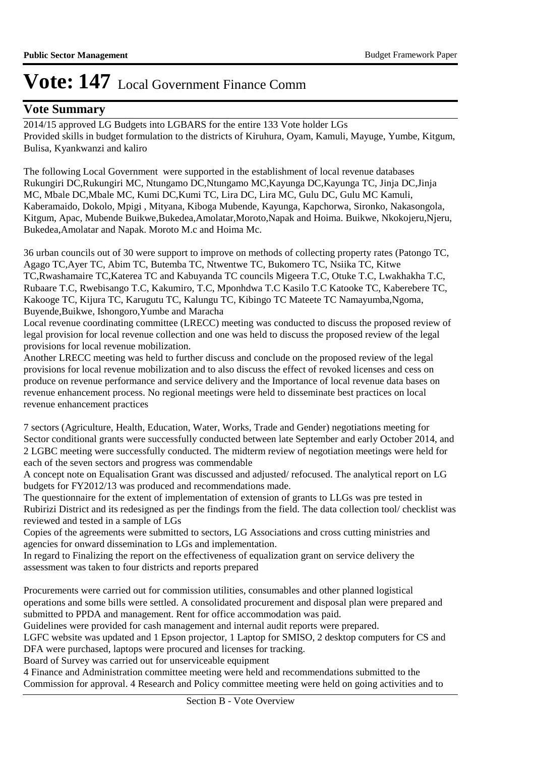### **Vote Summary**

2014/15 approved LG Budgets into LGBARS for the entire 133 Vote holder LGs Provided skills in budget formulation to the districts of Kiruhura, Oyam, Kamuli, Mayuge, Yumbe, Kitgum, Bulisa, Kyankwanzi and kaliro

The following Local Government were supported in the establishment of local revenue databases Rukungiri DC,Rukungiri MC, Ntungamo DC,Ntungamo MC,Kayunga DC,Kayunga TC, Jinja DC,Jinja MC, Mbale DC,Mbale MC, Kumi DC,Kumi TC, Lira DC, Lira MC, Gulu DC, Gulu MC Kamuli, Kaberamaido, Dokolo, Mpigi , Mityana, Kiboga Mubende, Kayunga, Kapchorwa, Sironko, Nakasongola, Kitgum, Apac, Mubende Buikwe,Bukedea,Amolatar,Moroto,Napak and Hoima. Buikwe, Nkokojeru,Njeru, Bukedea,Amolatar and Napak. Moroto M.c and Hoima Mc.

36 urban councils out of 30 were support to improve on methods of collecting property rates (Patongo TC, Agago TC,Ayer TC, Abim TC, Butemba TC, Ntwentwe TC, Bukomero TC, Nsiika TC, Kitwe TC,Rwashamaire TC,Katerea TC and Kabuyanda TC councils Migeera T.C, Otuke T.C, Lwakhakha T.C, Rubaare T.C, Rwebisango T.C, Kakumiro, T.C, Mponhdwa T.C Kasilo T.C Katooke TC, Kaberebere TC, Kakooge TC, Kijura TC, Karugutu TC, Kalungu TC, Kibingo TC Mateete TC Namayumba,Ngoma, Buyende,Buikwe, Ishongoro,Yumbe and Maracha

Local revenue coordinating committee (LRECC) meeting was conducted to discuss the proposed review of legal provision for local revenue collection and one was held to discuss the proposed review of the legal provisions for local revenue mobilization.

Another LRECC meeting was held to further discuss and conclude on the proposed review of the legal provisions for local revenue mobilization and to also discuss the effect of revoked licenses and cess on produce on revenue performance and service delivery and the Importance of local revenue data bases on revenue enhancement process. No regional meetings were held to disseminate best practices on local revenue enhancement practices

7 sectors (Agriculture, Health, Education, Water, Works, Trade and Gender) negotiations meeting for Sector conditional grants were successfully conducted between late September and early October 2014, and 2 LGBC meeting were successfully conducted. The midterm review of negotiation meetings were held for each of the seven sectors and progress was commendable

A concept note on Equalisation Grant was discussed and adjusted/ refocused. The analytical report on LG budgets for FY2012/13 was produced and recommendations made.

The questionnaire for the extent of implementation of extension of grants to LLGs was pre tested in Rubirizi District and its redesigned as per the findings from the field. The data collection tool/ checklist was reviewed and tested in a sample of LGs

Copies of the agreements were submitted to sectors, LG Associations and cross cutting ministries and agencies for onward dissemination to LGs and implementation.

In regard to Finalizing the report on the effectiveness of equalization grant on service delivery the assessment was taken to four districts and reports prepared

Procurements were carried out for commission utilities, consumables and other planned logistical operations and some bills were settled. A consolidated procurement and disposal plan were prepared and submitted to PPDA and management. Rent for office accommodation was paid.

Guidelines were provided for cash management and internal audit reports were prepared.

LGFC website was updated and 1 Epson projector, 1 Laptop for SMISO, 2 desktop computers for CS and DFA were purchased, laptops were procured and licenses for tracking.

Board of Survey was carried out for unserviceable equipment

4 Finance and Administration committee meeting were held and recommendations submitted to the Commission for approval. 4 Research and Policy committee meeting were held on going activities and to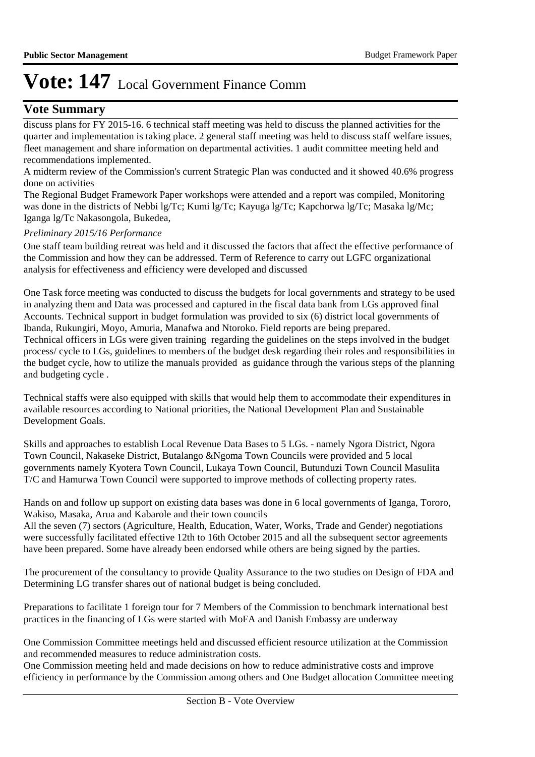## **Vote Summary**

discuss plans for FY 2015-16. 6 technical staff meeting was held to discuss the planned activities for the quarter and implementation is taking place. 2 general staff meeting was held to discuss staff welfare issues, fleet management and share information on departmental activities. 1 audit committee meeting held and recommendations implemented.

A midterm review of the Commission's current Strategic Plan was conducted and it showed 40.6% progress done on activities

The Regional Budget Framework Paper workshops were attended and a report was compiled, Monitoring was done in the districts of Nebbi lg/Tc; Kumi lg/Tc; Kayuga lg/Tc; Kapchorwa lg/Tc; Masaka lg/Mc; Iganga lg/Tc Nakasongola, Bukedea,

#### *Preliminary 2015/16 Performance*

One staff team building retreat was held and it discussed the factors that affect the effective performance of the Commission and how they can be addressed. Term of Reference to carry out LGFC organizational analysis for effectiveness and efficiency were developed and discussed

One Task force meeting was conducted to discuss the budgets for local governments and strategy to be used in analyzing them and Data was processed and captured in the fiscal data bank from LGs approved final Accounts. Technical support in budget formulation was provided to six (6) district local governments of Ibanda, Rukungiri, Moyo, Amuria, Manafwa and Ntoroko. Field reports are being prepared. Technical officers in LGs were given training regarding the guidelines on the steps involved in the budget process/ cycle to LGs, guidelines to members of the budget desk regarding their roles and responsibilities in the budget cycle, how to utilize the manuals provided as guidance through the various steps of the planning and budgeting cycle .

Technical staffs were also equipped with skills that would help them to accommodate their expenditures in available resources according to National priorities, the National Development Plan and Sustainable Development Goals.

Skills and approaches to establish Local Revenue Data Bases to 5 LGs. - namely Ngora District, Ngora Town Council, Nakaseke District, Butalango &Ngoma Town Councils were provided and 5 local governments namely Kyotera Town Council, Lukaya Town Council, Butunduzi Town Council Masulita T/C and Hamurwa Town Council were supported to improve methods of collecting property rates.

Hands on and follow up support on existing data bases was done in 6 local governments of Iganga, Tororo, Wakiso, Masaka, Arua and Kabarole and their town councils

All the seven (7) sectors (Agriculture, Health, Education, Water, Works, Trade and Gender) negotiations were successfully facilitated effective 12th to 16th October 2015 and all the subsequent sector agreements have been prepared. Some have already been endorsed while others are being signed by the parties.

The procurement of the consultancy to provide Quality Assurance to the two studies on Design of FDA and Determining LG transfer shares out of national budget is being concluded.

Preparations to facilitate 1 foreign tour for 7 Members of the Commission to benchmark international best practices in the financing of LGs were started with MoFA and Danish Embassy are underway

One Commission Committee meetings held and discussed efficient resource utilization at the Commission and recommended measures to reduce administration costs.

One Commission meeting held and made decisions on how to reduce administrative costs and improve efficiency in performance by the Commission among others and One Budget allocation Committee meeting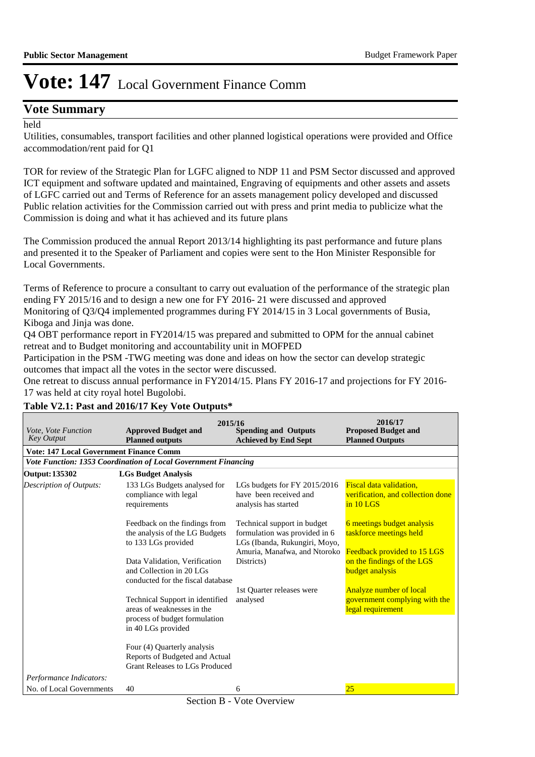### **Vote Summary**

### held

Utilities, consumables, transport facilities and other planned logistical operations were provided and Office accommodation/rent paid for Q1

TOR for review of the Strategic Plan for LGFC aligned to NDP 11 and PSM Sector discussed and approved ICT equipment and software updated and maintained, Engraving of equipments and other assets and assets of LGFC carried out and Terms of Reference for an assets management policy developed and discussed Public relation activities for the Commission carried out with press and print media to publicize what the Commission is doing and what it has achieved and its future plans

The Commission produced the annual Report 2013/14 highlighting its past performance and future plans and presented it to the Speaker of Parliament and copies were sent to the Hon Minister Responsible for Local Governments.

Terms of Reference to procure a consultant to carry out evaluation of the performance of the strategic plan ending FY 2015/16 and to design a new one for FY 2016- 21 were discussed and approved

Monitoring of Q3/Q4 implemented programmes during FY 2014/15 in 3 Local governments of Busia, Kiboga and Jinja was done.

Q4 OBT performance report in FY2014/15 was prepared and submitted to OPM for the annual cabinet retreat and to Budget monitoring and accountability unit in MOFPED

Participation in the PSM -TWG meeting was done and ideas on how the sector can develop strategic outcomes that impact all the votes in the sector were discussed.

One retreat to discuss annual performance in FY2014/15. Plans FY 2016-17 and projections for FY 2016- 17 was held at city royal hotel Bugolobi.

| <i>Vote, Vote Function</i>                     | 2015/16<br><b>Approved Budget and</b>                                                                                | <b>Spending and Outputs</b>                                                                                                   | 2016/17<br><b>Proposed Budget and</b>                                                       |
|------------------------------------------------|----------------------------------------------------------------------------------------------------------------------|-------------------------------------------------------------------------------------------------------------------------------|---------------------------------------------------------------------------------------------|
| <b>Key Output</b>                              | <b>Planned outputs</b>                                                                                               | <b>Achieved by End Sept</b>                                                                                                   | <b>Planned Outputs</b>                                                                      |
| <b>Vote: 147 Local Government Finance Comm</b> |                                                                                                                      |                                                                                                                               |                                                                                             |
|                                                | Vote Function: 1353 Coordination of Local Government Financing                                                       |                                                                                                                               |                                                                                             |
| <b>Output: 135302</b>                          | <b>LGs Budget Analysis</b>                                                                                           |                                                                                                                               |                                                                                             |
| Description of Outputs:                        | 133 LGs Budgets analysed for<br>compliance with legal<br>requirements                                                | LGs budgets for $FY$ 2015/2016<br>have been received and<br>analysis has started                                              | Fiscal data validation.<br>verification, and collection done<br>in 10 LGS                   |
|                                                | Feedback on the findings from<br>the analysis of the LG Budgets<br>to 133 LGs provided                               | Technical support in budget<br>formulation was provided in 6<br>LGs (Ibanda, Rukungiri, Moyo,<br>Amuria, Manafwa, and Ntoroko | 6 meetings budget analysis<br>taskforce meetings held<br><b>Feedback provided to 15 LGS</b> |
|                                                | Data Validation, Verification<br>and Collection in 20 LGs<br>conducted for the fiscal database                       | Districts)                                                                                                                    | on the findings of the LGS<br><b>budget</b> analysis                                        |
|                                                | Technical Support in identified<br>areas of weaknesses in the<br>process of budget formulation<br>in 40 LGs provided | 1st Ouarter releases were<br>analysed                                                                                         | <b>Analyze number of local</b><br>government complying with the<br>legal requirement        |
| Performance Indicators:                        | Four (4) Quarterly analysis<br>Reports of Budgeted and Actual<br><b>Grant Releases to LGs Produced</b>               |                                                                                                                               |                                                                                             |
| No. of Local Governments                       | 40                                                                                                                   | 6                                                                                                                             | 25                                                                                          |

### **Table V2.1: Past and 2016/17 Key Vote Outputs\***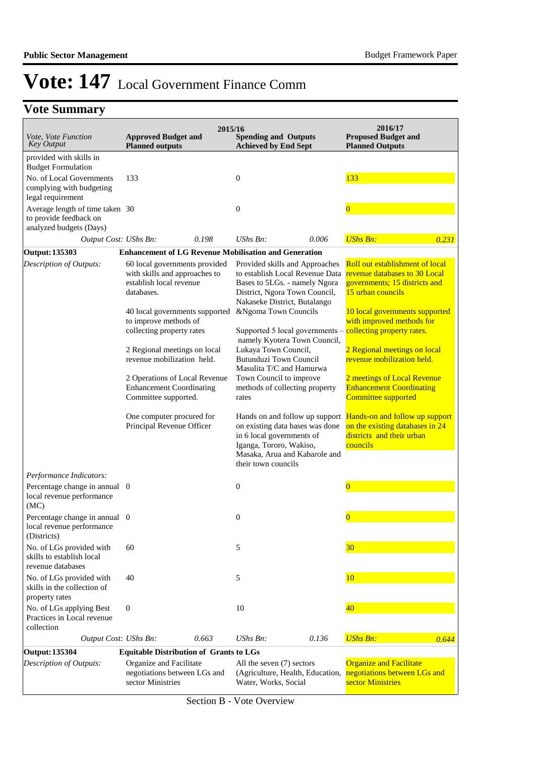## **Vote Summary**

| <i>Vote, Vote Function</i><br><b>Key Output</b>                                      | <b>Approved Budget and</b><br><b>Planned outputs</b>                                                                                                                                                                                                                                                                                                                                                                | 2015/16 | <b>Spending and Outputs</b><br><b>Achieved by End Sept</b>                                                                                                                                                                                                                                                                                                                                                                                                                                                                                                                                                     |                         | 2016/17<br><b>Proposed Budget and</b><br><b>Planned Outputs</b>                                                                                                                                                                                                                                                                                                                                                                                                                          |       |
|--------------------------------------------------------------------------------------|---------------------------------------------------------------------------------------------------------------------------------------------------------------------------------------------------------------------------------------------------------------------------------------------------------------------------------------------------------------------------------------------------------------------|---------|----------------------------------------------------------------------------------------------------------------------------------------------------------------------------------------------------------------------------------------------------------------------------------------------------------------------------------------------------------------------------------------------------------------------------------------------------------------------------------------------------------------------------------------------------------------------------------------------------------------|-------------------------|------------------------------------------------------------------------------------------------------------------------------------------------------------------------------------------------------------------------------------------------------------------------------------------------------------------------------------------------------------------------------------------------------------------------------------------------------------------------------------------|-------|
| provided with skills in<br><b>Budget Formulation</b>                                 |                                                                                                                                                                                                                                                                                                                                                                                                                     |         |                                                                                                                                                                                                                                                                                                                                                                                                                                                                                                                                                                                                                |                         |                                                                                                                                                                                                                                                                                                                                                                                                                                                                                          |       |
| No. of Local Governments<br>complying with budgeting<br>legal requirement            | 133                                                                                                                                                                                                                                                                                                                                                                                                                 |         |                                                                                                                                                                                                                                                                                                                                                                                                                                                                                                                                                                                                                | $\boldsymbol{0}$<br>133 |                                                                                                                                                                                                                                                                                                                                                                                                                                                                                          |       |
| Average length of time taken 30<br>to provide feedback on<br>analyzed budgets (Days) |                                                                                                                                                                                                                                                                                                                                                                                                                     |         | $\boldsymbol{0}$                                                                                                                                                                                                                                                                                                                                                                                                                                                                                                                                                                                               | $\overline{0}$          |                                                                                                                                                                                                                                                                                                                                                                                                                                                                                          |       |
| Output Cost: UShs Bn:                                                                |                                                                                                                                                                                                                                                                                                                                                                                                                     | 0.198   | $UShs Bn$ :                                                                                                                                                                                                                                                                                                                                                                                                                                                                                                                                                                                                    | 0.006                   | <b>UShs Bn:</b>                                                                                                                                                                                                                                                                                                                                                                                                                                                                          | 0.231 |
| Output: 135303                                                                       | <b>Enhancement of LG Revenue Mobilisation and Generation</b>                                                                                                                                                                                                                                                                                                                                                        |         |                                                                                                                                                                                                                                                                                                                                                                                                                                                                                                                                                                                                                |                         |                                                                                                                                                                                                                                                                                                                                                                                                                                                                                          |       |
| Description of Outputs:                                                              | 60 local governments provided<br>with skills and approaches to<br>establish local revenue<br>databases.<br>40 local governments supported<br>to improve methods of<br>collecting property rates<br>2 Regional meetings on local<br>revenue mobilization held.<br>2 Operations of Local Revenue<br><b>Enhancement Coordinating</b><br>Committee supported.<br>One computer procured for<br>Principal Revenue Officer |         | Provided skills and Approaches<br>to establish Local Revenue Data<br>Bases to 5LGs. - namely Ngora<br>District, Ngora Town Council,<br>Nakaseke District, Butalango<br>&Ngoma Town Councils<br>Supported 5 local governments -<br>namely Kyotera Town Council,<br>Lukaya Town Council,<br><b>Butunduzi Town Council</b><br>Masulita T/C and Hamurwa<br>Town Council to improve<br>methods of collecting property<br>rates<br>Hands on and follow up support<br>on existing data bases was done<br>in 6 local governments of<br>Iganga, Tororo, Wakiso,<br>Masaka, Arua and Kabarole and<br>their town councils |                         | Roll out establishment of local<br>revenue databases to 30 Local<br>governments; 15 districts and<br>15 urban councils<br>10 local governments supported<br>with improved methods for<br>collecting property rates.<br>2 Regional meetings on local<br>revenue mobilization held.<br>2 meetings of Local Revenue<br><b>Enhancement Coordinating</b><br>Committee supported<br>Hands-on and follow up support<br>on the existing databases in 24<br>districts and their urban<br>councils |       |
| Performance Indicators:                                                              |                                                                                                                                                                                                                                                                                                                                                                                                                     |         |                                                                                                                                                                                                                                                                                                                                                                                                                                                                                                                                                                                                                |                         |                                                                                                                                                                                                                                                                                                                                                                                                                                                                                          |       |
| Percentage change in annual 0<br>local revenue performance<br>(MC)                   |                                                                                                                                                                                                                                                                                                                                                                                                                     |         | $\boldsymbol{0}$                                                                                                                                                                                                                                                                                                                                                                                                                                                                                                                                                                                               |                         | $\overline{0}$                                                                                                                                                                                                                                                                                                                                                                                                                                                                           |       |
| Percentage change in annual 0<br>local revenue performance<br>(Districts)            |                                                                                                                                                                                                                                                                                                                                                                                                                     |         | $\boldsymbol{0}$                                                                                                                                                                                                                                                                                                                                                                                                                                                                                                                                                                                               |                         | $\overline{0}$                                                                                                                                                                                                                                                                                                                                                                                                                                                                           |       |
| No. of LGs provided with<br>skills to establish local<br>revenue databases           | 60                                                                                                                                                                                                                                                                                                                                                                                                                  |         | 5                                                                                                                                                                                                                                                                                                                                                                                                                                                                                                                                                                                                              |                         | 30                                                                                                                                                                                                                                                                                                                                                                                                                                                                                       |       |
| No. of LGs provided with<br>skills in the collection of<br>property rates            | 40                                                                                                                                                                                                                                                                                                                                                                                                                  |         | 5                                                                                                                                                                                                                                                                                                                                                                                                                                                                                                                                                                                                              |                         | 10                                                                                                                                                                                                                                                                                                                                                                                                                                                                                       |       |
| No. of LGs applying Best<br>Practices in Local revenue<br>collection                 | $\boldsymbol{0}$                                                                                                                                                                                                                                                                                                                                                                                                    |         | 10                                                                                                                                                                                                                                                                                                                                                                                                                                                                                                                                                                                                             |                         | 40                                                                                                                                                                                                                                                                                                                                                                                                                                                                                       |       |
| Output Cost: UShs Bn:                                                                |                                                                                                                                                                                                                                                                                                                                                                                                                     | 0.663   | $UShs Bn$ :                                                                                                                                                                                                                                                                                                                                                                                                                                                                                                                                                                                                    | 0.136                   | <b>UShs Bn:</b>                                                                                                                                                                                                                                                                                                                                                                                                                                                                          | 0.644 |
| <b>Output: 135304</b>                                                                | <b>Equitable Distribution of Grants to LGs</b>                                                                                                                                                                                                                                                                                                                                                                      |         |                                                                                                                                                                                                                                                                                                                                                                                                                                                                                                                                                                                                                |                         |                                                                                                                                                                                                                                                                                                                                                                                                                                                                                          |       |
| Description of Outputs:                                                              | Organize and Facilitate<br>negotiations between LGs and<br>sector Ministries                                                                                                                                                                                                                                                                                                                                        |         | All the seven (7) sectors<br>(Agriculture, Health, Education,<br>Water, Works, Social                                                                                                                                                                                                                                                                                                                                                                                                                                                                                                                          |                         | <b>Organize and Facilitate</b><br>negotiations between LGs and<br>sector Ministries                                                                                                                                                                                                                                                                                                                                                                                                      |       |

Section B - Vote Overview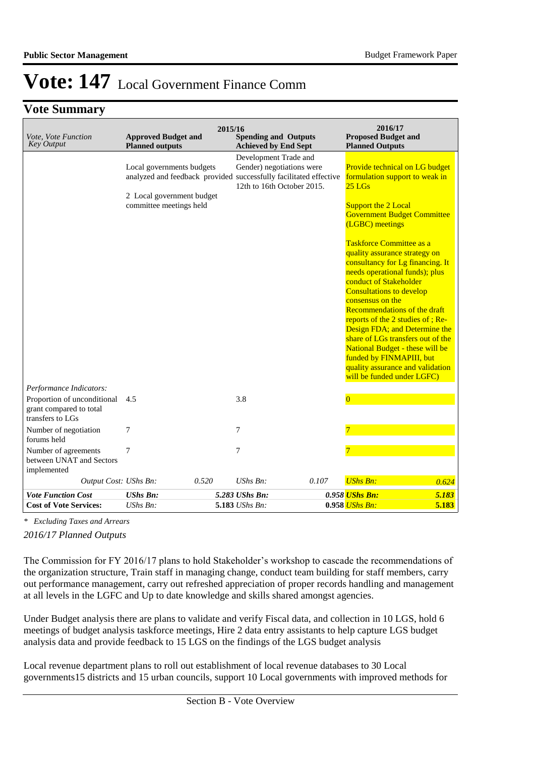### **Vote Summary**

| Vote, Vote Function<br><b>Key Output</b>                                   | <b>Approved Budget and</b><br><b>Planned outputs</b>                              | 2015/16 | <b>Spending and Outputs</b><br><b>Achieved by End Sept</b>                                                                                            | 2016/17<br><b>Proposed Budget and</b><br><b>Planned Outputs</b>                                                                                                                                                                                                                                                                                                                                                                                                                                                                                                                                                                                                           |  |
|----------------------------------------------------------------------------|-----------------------------------------------------------------------------------|---------|-------------------------------------------------------------------------------------------------------------------------------------------------------|---------------------------------------------------------------------------------------------------------------------------------------------------------------------------------------------------------------------------------------------------------------------------------------------------------------------------------------------------------------------------------------------------------------------------------------------------------------------------------------------------------------------------------------------------------------------------------------------------------------------------------------------------------------------------|--|
|                                                                            | Local governments budgets<br>2 Local government budget<br>committee meetings held |         | Development Trade and<br>Gender) negotiations were<br>analyzed and feedback provided successfully facilitated effective<br>12th to 16th October 2015. | Provide technical on LG budget<br>formulation support to weak in<br>$25$ LGs<br><b>Support the 2 Local</b><br><b>Government Budget Committee</b><br>(LGBC) meetings<br><b>Taskforce Committee as a</b><br>quality assurance strategy on<br>consultancy for Lg financing. It<br>needs operational funds); plus<br>conduct of Stakeholder<br><b>Consultations to develop</b><br>consensus on the<br>Recommendations of the draft<br>reports of the 2 studies of; Re-<br>Design FDA; and Determine the<br>share of LGs transfers out of the<br>National Budget - these will be<br>funded by FINMAPIII, but<br>quality assurance and validation<br>will be funded under LGFC) |  |
| Performance Indicators:                                                    |                                                                                   |         |                                                                                                                                                       |                                                                                                                                                                                                                                                                                                                                                                                                                                                                                                                                                                                                                                                                           |  |
| Proportion of unconditional<br>grant compared to total<br>transfers to LGs | 4.5                                                                               |         | 3.8                                                                                                                                                   | $\overline{0}$                                                                                                                                                                                                                                                                                                                                                                                                                                                                                                                                                                                                                                                            |  |
| Number of negotiation<br>forums held                                       | 7                                                                                 |         | 7                                                                                                                                                     |                                                                                                                                                                                                                                                                                                                                                                                                                                                                                                                                                                                                                                                                           |  |
| Number of agreements<br>between UNAT and Sectors<br>implemented            | 7                                                                                 |         | 7                                                                                                                                                     |                                                                                                                                                                                                                                                                                                                                                                                                                                                                                                                                                                                                                                                                           |  |
| Output Cost: UShs Bn:                                                      | 0.520                                                                             |         | $UShs Bn$ :<br>0.107                                                                                                                                  | <b>UShs Bn:</b><br>0.624                                                                                                                                                                                                                                                                                                                                                                                                                                                                                                                                                                                                                                                  |  |
| <b>Vote Function Cost</b>                                                  | <b>UShs Bn:</b>                                                                   |         | 5.283 UShs Bn:                                                                                                                                        | 0.958 <i>UShs Bn:</i><br>5.183                                                                                                                                                                                                                                                                                                                                                                                                                                                                                                                                                                                                                                            |  |
| <b>Cost of Vote Services:</b>                                              | UShs Bn:                                                                          |         | 5.183 UShs Bn:                                                                                                                                        | $0.958$ UShs Bn:<br>5.183                                                                                                                                                                                                                                                                                                                                                                                                                                                                                                                                                                                                                                                 |  |

*\* Excluding Taxes and Arrears*

*2016/17 Planned Outputs*

The Commission for FY 2016/17 plans to hold Stakeholder's workshop to cascade the recommendations of the organization structure, Train staff in managing change, conduct team building for staff members, carry out performance management, carry out refreshed appreciation of proper records handling and management at all levels in the LGFC and Up to date knowledge and skills shared amongst agencies.

Under Budget analysis there are plans to validate and verify Fiscal data, and collection in 10 LGS, hold 6 meetings of budget analysis taskforce meetings, Hire 2 data entry assistants to help capture LGS budget analysis data and provide feedback to 15 LGS on the findings of the LGS budget analysis

Local revenue department plans to roll out establishment of local revenue databases to 30 Local governments15 districts and 15 urban councils, support 10 Local governments with improved methods for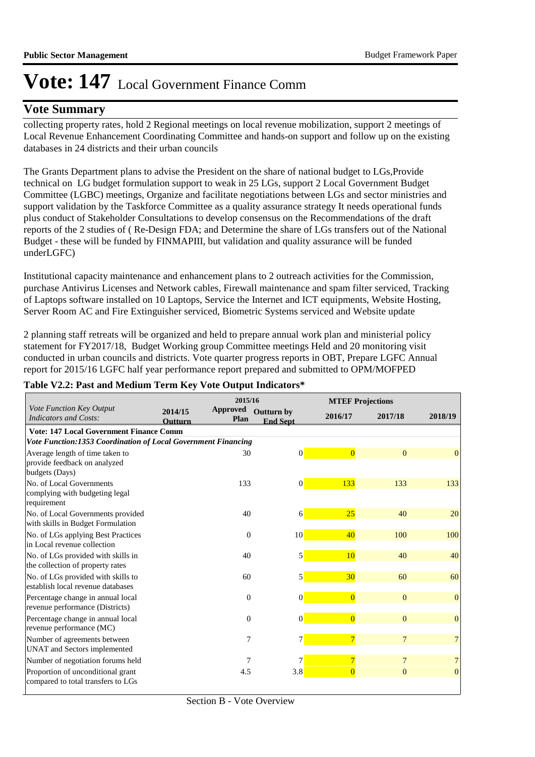### **Vote Summary**

collecting property rates, hold 2 Regional meetings on local revenue mobilization, support 2 meetings of Local Revenue Enhancement Coordinating Committee and hands-on support and follow up on the existing databases in 24 districts and their urban councils

The Grants Department plans to advise the President on the share of national budget to LGs,Provide technical on LG budget formulation support to weak in 25 LGs, support 2 Local Government Budget Committee (LGBC) meetings, Organize and facilitate negotiations between LGs and sector ministries and support validation by the Taskforce Committee as a quality assurance strategy It needs operational funds plus conduct of Stakeholder Consultations to develop consensus on the Recommendations of the draft reports of the 2 studies of ( Re-Design FDA; and Determine the share of LGs transfers out of the National Budget - these will be funded by FINMAPIII, but validation and quality assurance will be funded underLGFC)

Institutional capacity maintenance and enhancement plans to 2 outreach activities for the Commission, purchase Antivirus Licenses and Network cables, Firewall maintenance and spam filter serviced, Tracking of Laptops software installed on 10 Laptops, Service the Internet and ICT equipments, Website Hosting, Server Room AC and Fire Extinguisher serviced, Biometric Systems serviced and Website update

2 planning staff retreats will be organized and held to prepare annual work plan and ministerial policy statement for FY2017/18, Budget Working group Committee meetings Held and 20 monitoring visit conducted in urban councils and districts. Vote quarter progress reports in OBT, Prepare LGFC Annual report for 2015/16 LGFC half year performance report prepared and submitted to OPM/MOFPED

|                                                                                   |                           | 2015/16                 |                               |                | <b>MTEF Projections</b> |                  |  |  |  |  |  |
|-----------------------------------------------------------------------------------|---------------------------|-------------------------|-------------------------------|----------------|-------------------------|------------------|--|--|--|--|--|
| Vote Function Key Output<br><b>Indicators and Costs:</b>                          | 2014/15<br><b>Outturn</b> | <b>Approved</b><br>Plan | Outturn by<br><b>End Sept</b> | 2016/17        | 2017/18                 | 2018/19          |  |  |  |  |  |
| <b>Vote: 147 Local Government Finance Comm</b>                                    |                           |                         |                               |                |                         |                  |  |  |  |  |  |
| Vote Function:1353 Coordination of Local Government Financing                     |                           |                         |                               |                |                         |                  |  |  |  |  |  |
| Average length of time taken to<br>provide feedback on analyzed<br>budgets (Days) |                           | 30                      | $\overline{0}$                | $\overline{0}$ | $\Omega$                | $\Omega$         |  |  |  |  |  |
| No. of Local Governments<br>complying with budgeting legal<br>requirement         |                           | 133                     | $\vert 0 \vert$               | 133            | 133                     | 133              |  |  |  |  |  |
| No. of Local Governments provided<br>with skills in Budget Formulation            |                           | 40                      | 6                             | 25             | 40                      | 20               |  |  |  |  |  |
| No. of LGs applying Best Practices<br>in Local revenue collection                 |                           | $\theta$                | 10                            | 40             | 100                     | 100              |  |  |  |  |  |
| No. of LGs provided with skills in<br>the collection of property rates            |                           | 40                      | 5                             | 10             | 40                      | 40               |  |  |  |  |  |
| No. of LGs provided with skills to<br>establish local revenue databases           |                           | 60                      | 5                             | 30             | 60                      | 60               |  |  |  |  |  |
| Percentage change in annual local<br>revenue performance (Districts)              |                           | $\boldsymbol{0}$        | $\overline{0}$                | $\overline{0}$ | $\overline{0}$          | $\mathbf{0}$     |  |  |  |  |  |
| Percentage change in annual local<br>revenue performance (MC)                     |                           | $\mathbf{0}$            | $\theta$                      | $\overline{0}$ | $\overline{0}$          | $\boldsymbol{0}$ |  |  |  |  |  |
| Number of agreements between<br>UNAT and Sectors implemented                      |                           | 7                       | 7                             | $\overline{7}$ | $\overline{7}$          | 7                |  |  |  |  |  |
| Number of negotiation forums held                                                 |                           | 7                       | 7                             | $\overline{7}$ | 7                       |                  |  |  |  |  |  |
| Proportion of unconditional grant<br>compared to total transfers to LGs           |                           | 4.5                     | 3.8                           | $\overline{0}$ | $\Omega$                | $\mathbf{0}$     |  |  |  |  |  |

#### **Table V2.2: Past and Medium Term Key Vote Output Indicators\***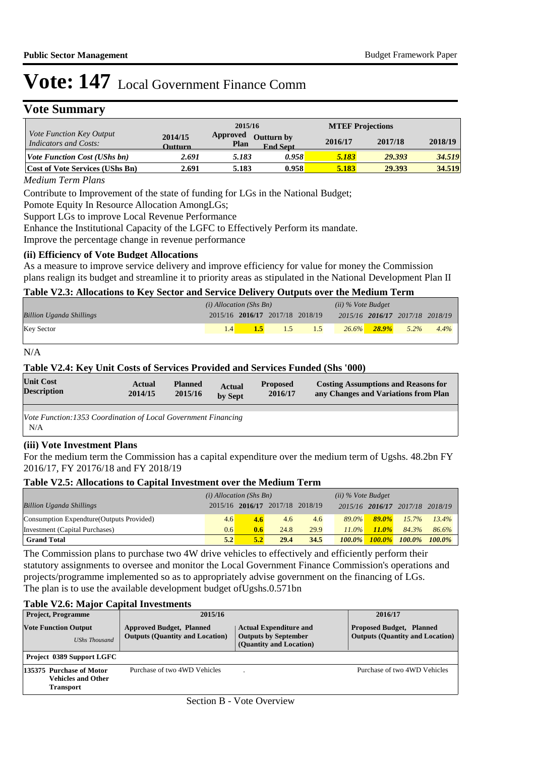### **Vote Summary**

|                                                          |                    | 2015/16                 |                               |         | <b>MTEF Projections</b> |         |
|----------------------------------------------------------|--------------------|-------------------------|-------------------------------|---------|-------------------------|---------|
| Vote Function Key Output<br><b>Indicators and Costs:</b> | 2014/15<br>Outturn | Approved<br><b>Plan</b> | Outturn by<br><b>End Sept</b> | 2016/17 | 2017/18                 | 2018/19 |
| <i><u><b>Vote Function Cost (UShs bn)</b></u></i>        | 2.691              | 5.183                   | 0.958                         | 5.183   | 29.393                  | 34.519  |
| <b>Cost of Vote Services (UShs Bn)</b>                   | 2.691              | 5.183                   | 0.958                         | 5.183   | 29.393                  | 34.519  |

#### *Medium Term Plans*

 Contribute to Improvement of the state of funding for LGs in the National Budget;

 Pomote Equity In Resource Allocation AmongLGs;

Support LGs to improve Local Revenue Performance

Enhance the Institutional Capacity of the LGFC to Effectively Perform its mandate.

Improve the percentage change in revenue performance

#### **(ii) Efficiency of Vote Budget Allocations**

As a measure to improve service delivery and improve efficiency for value for money the Commission plans realign its budget and streamline it to priority areas as stipulated in the National Development Plan II

#### **Table V2.3: Allocations to Key Sector and Service Delivery Outputs over the Medium Term**

|                                 | $(i)$ Allocation (Shs Bn) |                                 |     | $(ii)$ % Vote Budget |                   |                                 |         |
|---------------------------------|---------------------------|---------------------------------|-----|----------------------|-------------------|---------------------------------|---------|
| <b>Billion Uganda Shillings</b> |                           | 2015/16 2016/17 2017/18 2018/19 |     |                      |                   | 2015/16 2016/17 2017/18 2018/19 |         |
| <b>Key Sector</b>               | 1.4 <sup>7</sup>          |                                 | 1.5 |                      | $26.6\%$ $28.9\%$ | $5.2\%$                         | $4.4\%$ |

N/A

#### **Table V2.4: Key Unit Costs of Services Provided and Services Funded (Shs '000)**

| <b>Unit Cost</b>   | Actual  | <b>Planned</b> | <b>Actual</b> | <b>Proposed</b> | <b>Costing Assumptions and Reasons for</b> |
|--------------------|---------|----------------|---------------|-----------------|--------------------------------------------|
| <b>Description</b> | 2014/15 | 2015/16        | by Sept       | 2016/17         | any Changes and Variations from Plan       |
|                    |         |                |               |                 |                                            |

*Vote Function:1353 Coordination of Local Government Financing* N/A

#### **(iii) Vote Investment Plans**

For the medium term the Commission has a capital expenditure over the medium term of Ugshs. 48.2bn FY 2016/17, FY 20176/18 and FY 2018/19

#### **Table V2.5: Allocations to Capital Investment over the Medium Term**

|                                           | $(i)$ Allocation (Shs Bn) |     |                                 | $(ii)$ % Vote Budget |           |           |                                 |           |
|-------------------------------------------|---------------------------|-----|---------------------------------|----------------------|-----------|-----------|---------------------------------|-----------|
| <b>Billion Uganda Shillings</b>           |                           |     | 2015/16 2016/17 2017/18 2018/19 |                      |           |           | 2015/16 2016/17 2017/18 2018/19 |           |
| Consumption Expendture (Outputs Provided) | 4.6                       | 4.6 | 4.6                             | 4.6                  | $89.0\%$  | $89.0\%$  | $15.7\%$                        | $13.4\%$  |
| Investment (Capital Purchases)            | 0.6                       | 0.6 | 24.8                            | 29.9                 | $11.0\%$  | $11.0\%$  | 84.3%                           | 86.6%     |
| <b>Grand Total</b>                        | 5.2                       | 5.2 | 29.4                            | 34.5                 | $100.0\%$ | $100.0\%$ | $100.0\%$                       | $100.0\%$ |

The Commission plans to purchase two 4W drive vehicles to effectively and efficiently perform their statutory assignments to oversee and monitor the Local Government Finance Commission's operations and projects/programme implemented so as to appropriately advise government on the financing of LGs. The plan is to use the available development budget ofUgshs.0.571bn

#### **Table V2.6: Major Capital Investments**

| <b>Project, Programme</b>                                   | 2015/16                                                                   |                                                                                         | 2016/17                                                                   |
|-------------------------------------------------------------|---------------------------------------------------------------------------|-----------------------------------------------------------------------------------------|---------------------------------------------------------------------------|
| <b>Vote Function Output</b><br><b>UShs Thousand</b>         | <b>Approved Budget, Planned</b><br><b>Outputs (Quantity and Location)</b> | <b>Actual Expenditure and</b><br><b>Outputs by September</b><br>(Quantity and Location) | <b>Proposed Budget, Planned</b><br><b>Outputs (Quantity and Location)</b> |
| <b>Project 0389 Support LGFC</b>                            |                                                                           |                                                                                         |                                                                           |
| 135375 Purchase of Motor<br>Vehicles and Other<br>Transport | Purchase of two 4WD Vehicles                                              |                                                                                         | Purchase of two 4WD Vehicles                                              |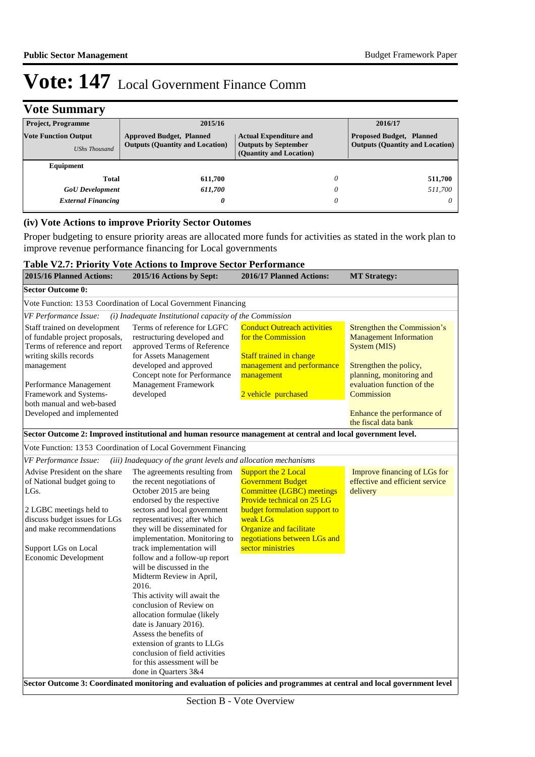| <b>Vote Summary</b>                                 |                                                                           |                                                                                         |                                                                           |
|-----------------------------------------------------|---------------------------------------------------------------------------|-----------------------------------------------------------------------------------------|---------------------------------------------------------------------------|
| <b>Project, Programme</b>                           | 2015/16                                                                   |                                                                                         | 2016/17                                                                   |
| <b>Vote Function Output</b><br><b>UShs Thousand</b> | <b>Approved Budget, Planned</b><br><b>Outputs (Quantity and Location)</b> | <b>Actual Expenditure and</b><br><b>Outputs by September</b><br>(Quantity and Location) | <b>Proposed Budget, Planned</b><br><b>Outputs (Quantity and Location)</b> |
| Equipment                                           |                                                                           |                                                                                         |                                                                           |
| Total                                               | 611,700                                                                   | 0                                                                                       | 511,700                                                                   |
| <b>GoU</b> Development                              | 611,700                                                                   | 0                                                                                       | 511,700                                                                   |
| <b>External Financing</b>                           | 0                                                                         | 0                                                                                       |                                                                           |

#### **(iv) Vote Actions to improve Priority Sector Outomes**

Proper budgeting to ensure priority areas are allocated more funds for activities as stated in the work plan to improve revenue performance financing for Local governments

| 2015/16 Planned Actions:                                                                                                                                                                    | 2015/16 Actions by Sept:                                                                                                                                                                                                                                                                                                                                                                                                                                                                                                      | 2016/17 Planned Actions:                                                                                                                                      | <b>MT Strategy:</b>                                                                                                                                                            |
|---------------------------------------------------------------------------------------------------------------------------------------------------------------------------------------------|-------------------------------------------------------------------------------------------------------------------------------------------------------------------------------------------------------------------------------------------------------------------------------------------------------------------------------------------------------------------------------------------------------------------------------------------------------------------------------------------------------------------------------|---------------------------------------------------------------------------------------------------------------------------------------------------------------|--------------------------------------------------------------------------------------------------------------------------------------------------------------------------------|
| <b>Sector Outcome 0:</b>                                                                                                                                                                    |                                                                                                                                                                                                                                                                                                                                                                                                                                                                                                                               |                                                                                                                                                               |                                                                                                                                                                                |
|                                                                                                                                                                                             | Vote Function: 1353 Coordination of Local Government Financing                                                                                                                                                                                                                                                                                                                                                                                                                                                                |                                                                                                                                                               |                                                                                                                                                                                |
| VF Performance Issue:                                                                                                                                                                       | (i) Inadequate Institutional capacity of the Commission                                                                                                                                                                                                                                                                                                                                                                                                                                                                       |                                                                                                                                                               |                                                                                                                                                                                |
| Staff trained on development<br>of fundable project proposals,<br>Terms of reference and report<br>writing skills records<br>management<br>Performance Management<br>Framework and Systems- | Terms of reference for LGFC<br>restructuring developed and<br>approved Terms of Reference<br>for Assets Management<br>developed and approved<br>Concept note for Performance<br>Management Framework<br>developed                                                                                                                                                                                                                                                                                                             | <b>Conduct Outreach activities</b><br>for the Commission<br><b>Staff trained in change</b><br>management and performance<br>management<br>2 vehicle purchased | Strengthen the Commission's<br><b>Management Information</b><br>System (MIS)<br>Strengthen the policy,<br>planning, monitoring and<br>evaluation function of the<br>Commission |
| both manual and web-based<br>Developed and implemented                                                                                                                                      |                                                                                                                                                                                                                                                                                                                                                                                                                                                                                                                               |                                                                                                                                                               | Enhance the performance of<br>the fiscal data bank                                                                                                                             |
|                                                                                                                                                                                             | Sector Outcome 2: Improved institutional and human resource management at central and local government level.                                                                                                                                                                                                                                                                                                                                                                                                                 |                                                                                                                                                               |                                                                                                                                                                                |
|                                                                                                                                                                                             | Vote Function: 13 53 Coordination of Local Government Financing                                                                                                                                                                                                                                                                                                                                                                                                                                                               |                                                                                                                                                               |                                                                                                                                                                                |
| VF Performance Issue:                                                                                                                                                                       | (iii) Inadequacy of the grant levels and allocation mechanisms                                                                                                                                                                                                                                                                                                                                                                                                                                                                |                                                                                                                                                               |                                                                                                                                                                                |
| Advise President on the share<br>of National budget going to<br>LGs.                                                                                                                        | The agreements resulting from<br>the recent negotiations of<br>October 2015 are being<br>endorsed by the respective                                                                                                                                                                                                                                                                                                                                                                                                           | Support the 2 Local<br><b>Government Budget</b><br><b>Committee (LGBC) meetings</b><br>Provide technical on 25 LG                                             | Improve financing of LGs for<br>effective and efficient service<br>delivery                                                                                                    |
| 2 LGBC meetings held to<br>discuss budget issues for LGs<br>and make recommendations                                                                                                        | sectors and local government<br>representatives; after which<br>they will be disseminated for<br>implementation. Monitoring to                                                                                                                                                                                                                                                                                                                                                                                                | <b>budget formulation support to</b><br>weak LGs<br>Organize and facilitate<br>negotiations between LGs and                                                   |                                                                                                                                                                                |
| Support LGs on Local<br>Economic Development                                                                                                                                                | track implementation will<br>follow and a follow-up report<br>will be discussed in the<br>Midterm Review in April,<br>2016.<br>This activity will await the<br>conclusion of Review on<br>allocation formulae (likely<br>date is January 2016).<br>Assess the benefits of<br>extension of grants to LLGs<br>conclusion of field activities<br>for this assessment will be<br>done in Quarters 3&4<br>Sector Outcome 3: Coordinated monitoring and evaluation of policies and programmes at central and local government level | sector ministries                                                                                                                                             |                                                                                                                                                                                |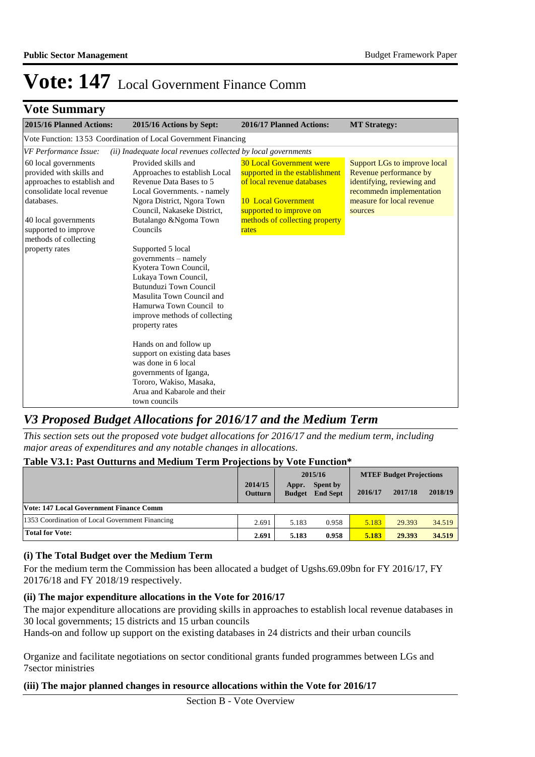### **Vote Summary**

| 2015/16 Planned Actions:                                                                                                                                                                                              | 2015/16 Actions by Sept:                                                                                                                                                                                                                                                                                                                                                                                                                                                                                                                                                                                                                      | 2016/17 Planned Actions:                                                                                                                                                                     | <b>MT Strategy:</b>                                                                                                                                      |  |
|-----------------------------------------------------------------------------------------------------------------------------------------------------------------------------------------------------------------------|-----------------------------------------------------------------------------------------------------------------------------------------------------------------------------------------------------------------------------------------------------------------------------------------------------------------------------------------------------------------------------------------------------------------------------------------------------------------------------------------------------------------------------------------------------------------------------------------------------------------------------------------------|----------------------------------------------------------------------------------------------------------------------------------------------------------------------------------------------|----------------------------------------------------------------------------------------------------------------------------------------------------------|--|
| Vote Function: 1353 Coordination of Local Government Financing                                                                                                                                                        |                                                                                                                                                                                                                                                                                                                                                                                                                                                                                                                                                                                                                                               |                                                                                                                                                                                              |                                                                                                                                                          |  |
| <b>VF</b> Performance Issue:<br>(ii) Inadequate local revenues collected by local governments                                                                                                                         |                                                                                                                                                                                                                                                                                                                                                                                                                                                                                                                                                                                                                                               |                                                                                                                                                                                              |                                                                                                                                                          |  |
| 60 local governments<br>provided with skills and<br>approaches to establish and<br>consolidate local revenue<br>databases.<br>40 local governments<br>supported to improve<br>methods of collecting<br>property rates | Provided skills and<br>Approaches to establish Local<br>Revenue Data Bases to 5<br>Local Governments. - namely<br>Ngora District, Ngora Town<br>Council, Nakaseke District,<br>Butalango & Ngoma Town<br>Councils<br>Supported 5 local<br>$goverments - namely$<br>Kyotera Town Council,<br>Lukaya Town Council,<br>Butunduzi Town Council<br>Masulita Town Council and<br>Hamurwa Town Council to<br>improve methods of collecting<br>property rates<br>Hands on and follow up<br>support on existing data bases<br>was done in 6 local<br>governments of Iganga,<br>Tororo, Wakiso, Masaka,<br>Arua and Kabarole and their<br>town councils | <b>30 Local Government were</b><br>supported in the establishment<br>of local revenue databases<br>10 Local Government<br>supported to improve on<br>methods of collecting property<br>rates | Support LGs to improve local<br>Revenue performance by<br>identifying, reviewing and<br>recommedn implementation<br>measure for local revenue<br>sources |  |

## *V3 Proposed Budget Allocations for 2016/17 and the Medium Term*

*This section sets out the proposed vote budget allocations for 2016/17 and the medium term, including major areas of expenditures and any notable changes in allocations.* 

#### **Table V3.1: Past Outturns and Medium Term Projections by Vote Function\***

|                                                 |                           | 2015/16                |                             | <b>MTEF Budget Projections</b> |         |         |
|-------------------------------------------------|---------------------------|------------------------|-----------------------------|--------------------------------|---------|---------|
|                                                 | 2014/15<br><b>Outturn</b> | Appr.<br><b>Budget</b> | Spent by<br><b>End Sept</b> | 2016/17                        | 2017/18 | 2018/19 |
| <b>Vote: 147 Local Government Finance Comm</b>  |                           |                        |                             |                                |         |         |
| 1353 Coordination of Local Government Financing | 2.691                     | 5.183                  | 0.958                       | 5.183                          | 29.393  | 34.519  |
| <b>Total for Vote:</b>                          | 2.691                     | 5.183                  | 0.958                       | 5.183                          | 29.393  | 34.519  |

#### **(i) The Total Budget over the Medium Term**

For the medium term the Commission has been allocated a budget of Ugshs.69.09bn for FY 2016/17, FY 20176/18 and FY 2018/19 respectively.

#### **(ii) The major expenditure allocations in the Vote for 2016/17**

The major expenditure allocations are providing skills in approaches to establish local revenue databases in 30 local governments; 15 districts and 15 urban councils

Hands-on and follow up support on the existing databases in 24 districts and their urban councils

Organize and facilitate negotiations on sector conditional grants funded programmes between LGs and 7sector ministries

### **(iii) The major planned changes in resource allocations within the Vote for 2016/17**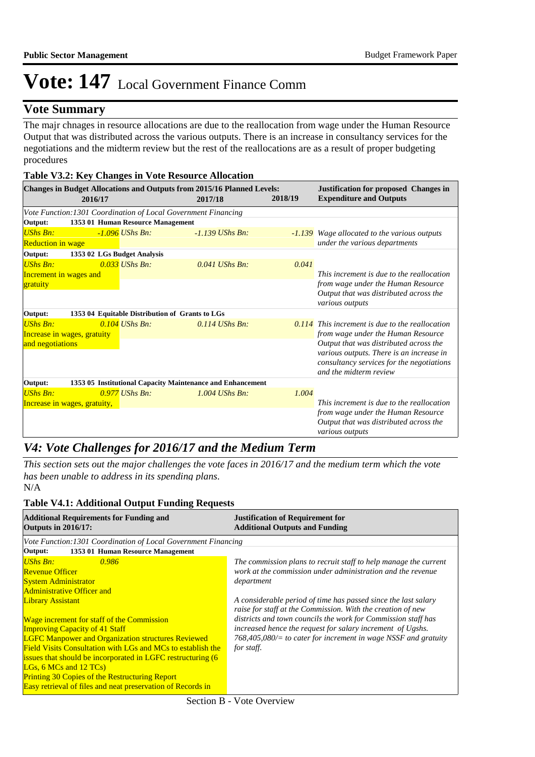### **Vote Summary**

The majr chnages in resource allocations are due to the reallocation from wage under the Human Resource Output that was distributed across the various outputs. There is an increase in consultancy services for the negotiations and the midterm review but the rest of the reallocations are as a result of proper budgeting procedures

| Table V3.2: Key Changes in Vote Resource Allocation |
|-----------------------------------------------------|
|-----------------------------------------------------|

|                          | 2016/17                      |                                                                | <b>Changes in Budget Allocations and Outputs from 2015/16 Planned Levels:</b><br>2017/18 | 2018/19 | <b>Justification for proposed Changes in</b><br><b>Expenditure and Outputs</b>                                                               |
|--------------------------|------------------------------|----------------------------------------------------------------|------------------------------------------------------------------------------------------|---------|----------------------------------------------------------------------------------------------------------------------------------------------|
|                          |                              | Vote Function: 1301 Coordination of Local Government Financing |                                                                                          |         |                                                                                                                                              |
| Output:                  |                              | 1353 01 Human Resource Management                              |                                                                                          |         |                                                                                                                                              |
| <b>UShs Bn:</b>          |                              | $-1.096$ UShs Bn:                                              | $-1.139$ UShs Bn.                                                                        |         | -1.139 Wage allocated to the various outputs                                                                                                 |
| <b>Reduction in wage</b> |                              |                                                                |                                                                                          |         | under the various departments                                                                                                                |
| Output:                  | 1353 02 LGs Budget Analysis  |                                                                |                                                                                          |         |                                                                                                                                              |
| <b>UShs Bn:</b>          |                              | 0.033 UShs Bn:                                                 | $0.041$ UShs Bn:                                                                         | 0.041   |                                                                                                                                              |
| Increment in wages and   |                              |                                                                |                                                                                          |         | This increment is due to the reallocation                                                                                                    |
| gratuity                 |                              |                                                                |                                                                                          |         | from wage under the Human Resource                                                                                                           |
|                          |                              |                                                                |                                                                                          |         | Output that was distributed across the<br>various outputs                                                                                    |
| Output:                  |                              | 1353 04 Equitable Distribution of Grants to LGs                |                                                                                          |         |                                                                                                                                              |
| <b>UShs Bn:</b>          |                              | $0.104$ UShs Bn:                                               | $0.114$ UShs Bn:                                                                         |         | $0.114$ This increment is due to the reallocation                                                                                            |
|                          | Increase in wages, gratuity  |                                                                |                                                                                          |         | from wage under the Human Resource                                                                                                           |
| and negotiations         |                              |                                                                |                                                                                          |         | Output that was distributed across the                                                                                                       |
|                          |                              |                                                                |                                                                                          |         | various outputs. There is an increase in<br>consultancy services for the negotiations<br>and the midterm review                              |
| Output:                  |                              |                                                                | 1353 05 Institutional Capacity Maintenance and Enhancement                               |         |                                                                                                                                              |
| <b>UShs Bn:</b>          |                              | $0.977$ UShs Bn:                                               | $1.004$ UShs Bn:                                                                         | 1.004   |                                                                                                                                              |
|                          | Increase in wages, gratuity, |                                                                |                                                                                          |         | This increment is due to the reallocation<br>from wage under the Human Resource<br>Output that was distributed across the<br>various outputs |

### *V4: Vote Challenges for 2016/17 and the Medium Term*

N/A *This section sets out the major challenges the vote faces in 2016/17 and the medium term which the vote has been unable to address in its spending plans.*

#### **Table V4.1: Additional Output Funding Requests**

| <b>Additional Requirements for Funding and</b><br><b>Outputs in 2016/17:</b> | <b>Justification of Requirement for</b><br><b>Additional Outputs and Funding</b>                                                |
|------------------------------------------------------------------------------|---------------------------------------------------------------------------------------------------------------------------------|
| Vote Function: 1301 Coordination of Local Government Financing               |                                                                                                                                 |
| 1353 01 Human Resource Management<br>Output:                                 |                                                                                                                                 |
| UShs Bn:<br>0.986<br><b>Revenue Officer</b>                                  | The commission plans to recruit staff to help manage the current<br>work at the commission under administration and the revenue |
| <b>System Administrator</b>                                                  | department                                                                                                                      |
| <b>Administrative Officer and</b>                                            |                                                                                                                                 |
| <b>Library Assistant</b>                                                     | A considerable period of time has passed since the last salary<br>raise for staff at the Commission. With the creation of new   |
| <b>Wage increment for staff of the Commission</b>                            | districts and town councils the work for Commission staff has                                                                   |
| <b>Improving Capacity of 41 Staff</b>                                        | increased hence the request for salary increment of Ugshs.                                                                      |
| <b>LGFC Manpower and Organization structures Reviewed</b>                    | $768,405,080$ = to cater for increment in wage NSSF and gratuity                                                                |
| <b>Field Visits Consultation with LGs and MCs to establish the</b>           | for staff.                                                                                                                      |
| issues that should be incorporated in LGFC restructuring (6                  |                                                                                                                                 |
| LGs, $6$ MCs and $12$ TCs)                                                   |                                                                                                                                 |
| <b>Printing 30 Copies of the Restructuring Report</b>                        |                                                                                                                                 |
| Easy retrieval of files and neat preservation of Records in                  |                                                                                                                                 |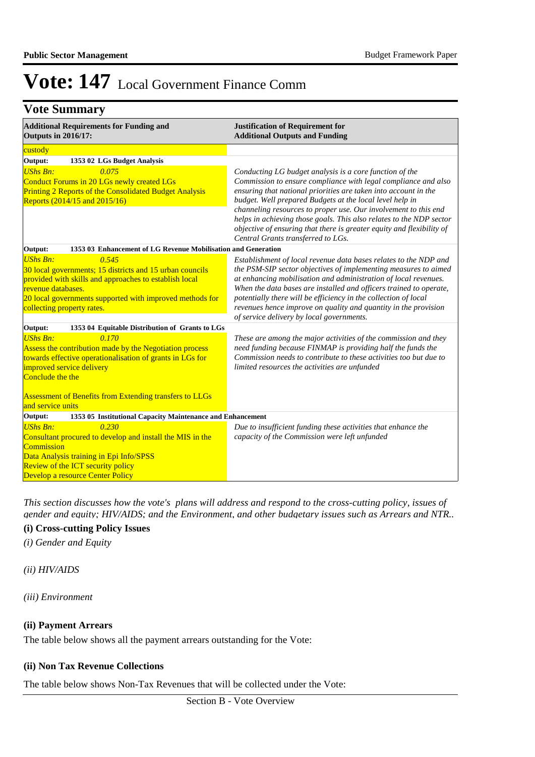|  | <b>Vote Summary</b> |  |
|--|---------------------|--|
|--|---------------------|--|

| <b>Additional Requirements for Funding and</b><br><b>Outputs in 2016/17:</b>                                                                                                                                                                                   | <b>Justification of Requirement for</b><br><b>Additional Outputs and Funding</b>                                                                                                                                                                                                                                                                                                                                                                                                                                  |  |  |  |
|----------------------------------------------------------------------------------------------------------------------------------------------------------------------------------------------------------------------------------------------------------------|-------------------------------------------------------------------------------------------------------------------------------------------------------------------------------------------------------------------------------------------------------------------------------------------------------------------------------------------------------------------------------------------------------------------------------------------------------------------------------------------------------------------|--|--|--|
| custody                                                                                                                                                                                                                                                        |                                                                                                                                                                                                                                                                                                                                                                                                                                                                                                                   |  |  |  |
| Output:<br>1353 02 LGs Budget Analysis                                                                                                                                                                                                                         |                                                                                                                                                                                                                                                                                                                                                                                                                                                                                                                   |  |  |  |
| 0.075<br><b>UShs Bn:</b><br>Conduct Forums in 20 LGs newly created LGs<br>Printing 2 Reports of the Consolidated Budget Analysis<br>Reports (2014/15 and 2015/16)                                                                                              | Conducting LG budget analysis is a core function of the<br>Commission to ensure compliance with legal compliance and also<br>ensuring that national priorities are taken into account in the<br>budget. Well prepared Budgets at the local level help in<br>channeling resources to proper use. Our involvement to this end<br>helps in achieving those goals. This also relates to the NDP sector<br>objective of ensuring that there is greater equity and flexibility of<br>Central Grants transferred to LGs. |  |  |  |
| 1353 03 Enhancement of LG Revenue Mobilisation and Generation<br>Output:                                                                                                                                                                                       |                                                                                                                                                                                                                                                                                                                                                                                                                                                                                                                   |  |  |  |
| <b>UShs Bn:</b><br>0.545<br>30 local governments; 15 districts and 15 urban councils<br>provided with skills and approaches to establish local<br>revenue databases.<br>20 local governments supported with improved methods for<br>collecting property rates. | Establishment of local revenue data bases relates to the NDP and<br>the PSM-SIP sector objectives of implementing measures to aimed<br>at enhancing mobilisation and administration of local revenues.<br>When the data bases are installed and officers trained to operate,<br>potentially there will be efficiency in the collection of local<br>revenues hence improve on quality and quantity in the provision<br>of service delivery by local governments.                                                   |  |  |  |
| Output:<br>1353 04 Equitable Distribution of Grants to LGs                                                                                                                                                                                                     |                                                                                                                                                                                                                                                                                                                                                                                                                                                                                                                   |  |  |  |
| <b>UShs Bn:</b><br>0.170<br>Assess the contribution made by the Negotiation process<br>towards effective operationalisation of grants in LGs for<br>improved service delivery<br>Conclude the the                                                              | These are among the major activities of the commission and they<br>need funding because FINMAP is providing half the funds the<br>Commission needs to contribute to these activities too but due to<br>limited resources the activities are unfunded                                                                                                                                                                                                                                                              |  |  |  |
| <b>Assessment of Benefits from Extending transfers to LLGs</b><br>and service units                                                                                                                                                                            |                                                                                                                                                                                                                                                                                                                                                                                                                                                                                                                   |  |  |  |
| Output:<br>1353 05 Institutional Capacity Maintenance and Enhancement                                                                                                                                                                                          |                                                                                                                                                                                                                                                                                                                                                                                                                                                                                                                   |  |  |  |
| <b>UShs Bn:</b><br>0.230<br>Consultant procured to develop and install the MIS in the<br>Commission<br>Data Analysis training in Epi Info/SPSS<br>Review of the ICT security policy<br>Develop a resource Center Policy                                        | Due to insufficient funding these activities that enhance the<br>capacity of the Commission were left unfunded                                                                                                                                                                                                                                                                                                                                                                                                    |  |  |  |

*This section discusses how the vote's plans will address and respond to the cross-cutting policy, issues of gender and equity; HIV/AIDS; and the Environment, and other budgetary issues such as Arrears and NTR..* 

#### **(i) Cross-cutting Policy Issues**

*(i) Gender and Equity*

*(ii) HIV/AIDS*

*(iii) Environment*

#### **(ii) Payment Arrears**

The table below shows all the payment arrears outstanding for the Vote:

#### **(ii) Non Tax Revenue Collections**

The table below shows Non-Tax Revenues that will be collected under the Vote: